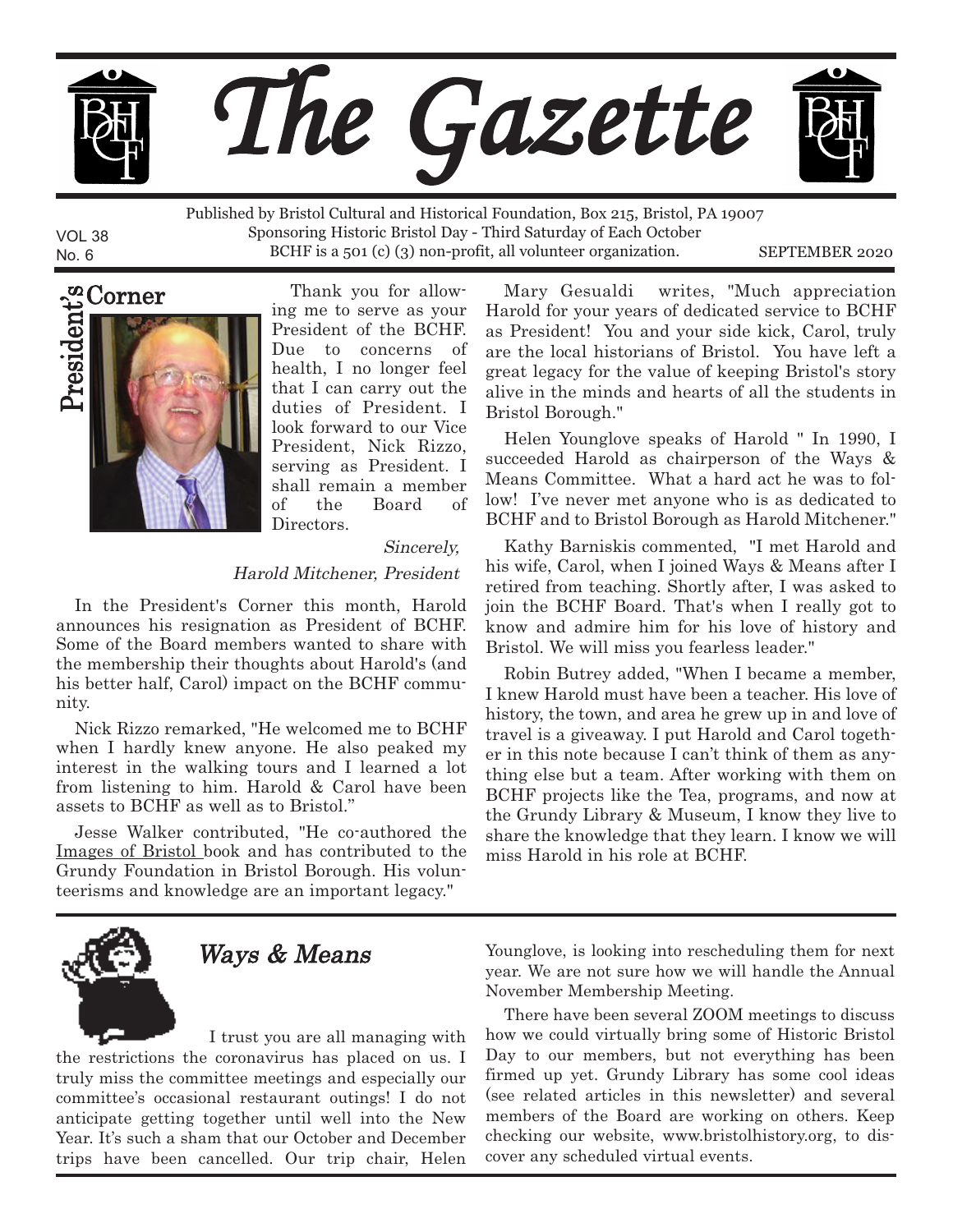

No. 6 SEPTEMBER 2020 BCHF is a 501 (c) (3) non-profit, all volunteer organization. Published by Bristol Cultural and Historical Foundation, Box 215, Bristol, PA 19007 Sponsoring Historic Bristol Day - Third Saturday of Each October



VOL 38

Thank you for allowing me to serve as your President of the BCHF. Due to concerns of health, I no longer feel that I can carry out the duties of President. I look forward to our Vice President, Nick Rizzo, serving as President. I shall remain a member of the Board of Directors.

Sincerely, Harold Mitchener, President

In the President's Corner this month, Harold announces his resignation as President of BCHF. Some of the Board members wanted to share with the membership their thoughts about Harold's (and his better half, Carol) impact on the BCHF community.

Nick Rizzo remarked, "He welcomed me to BCHF when I hardly knew anyone. He also peaked my interest in the walking tours and I learned a lot from listening to him. Harold & Carol have been assets to BCHF as well as to Bristol."

Jesse Walker contributed, "He co-authored the Images of Bristol book and has contributed to the Grundy Foundation in Bristol Borough. His volunteerisms and knowledge are an important legacy."

Mary Gesualdi writes, "Much appreciation Harold for your years of dedicated service to BCHF as President! You and your side kick, Carol, truly are the local historians of Bristol. You have left a great legacy for the value of keeping Bristol's story alive in the minds and hearts of all the students in Bristol Borough."

Helen Younglove speaks of Harold " In 1990, I succeeded Harold as chairperson of the Ways & Means Committee. What a hard act he was to follow! I've never met anyone who is as dedicated to BCHF and to Bristol Borough as Harold Mitchener."

Kathy Barniskis commented, "I met Harold and his wife, Carol, when I joined Ways & Means after I retired from teaching. Shortly after, I was asked to join the BCHF Board. That's when I really got to know and admire him for his love of history and Bristol. We will miss you fearless leader."

Robin Butrey added, "When I became a member, I knew Harold must have been a teacher. His love of history, the town, and area he grew up in and love of travel is a giveaway. I put Harold and Carol together in this note because I can't think of them as anything else but a team. After working with them on BCHF projects like the Tea, programs, and now at the Grundy Library & Museum, I know they live to share the knowledge that they learn. I know we will miss Harold in his role at BCHF.



I trust you are all managing with the restrictions the coronavirus has placed on us. I

truly miss the committee meetings and especially our committee's occasional restaurant outings! I do not anticipate getting together until well into the New Year. It's such a sham that our October and December trips have been cancelled. Our trip chair, Helen

 $Ways & Means$  Younglove, is looking into rescheduling them for next year. We are not sure how we will handle the Annual November Membership Meeting.

> There have been several ZOOM meetings to discuss how we could virtually bring some of Historic Bristol Day to our members, but not everything has been firmed up yet. Grundy Library has some cool ideas (see related articles in this newsletter) and several members of the Board are working on others. Keep checking our website, www.bristolhistory.org, to discover any scheduled virtual events.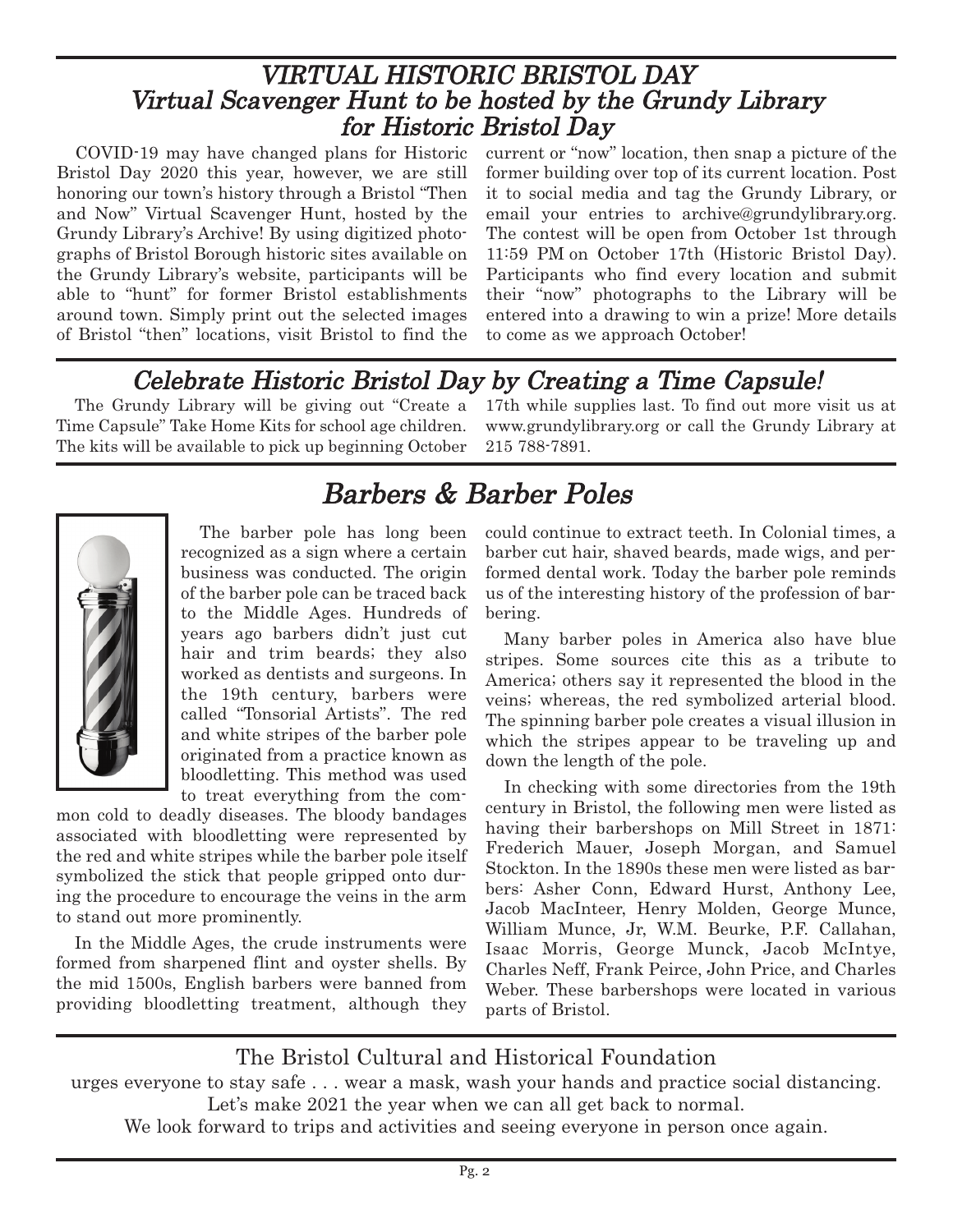#### VIRTUAL HISTORIC BRISTOL DAY Virtual Scavenger Hunt to be hosted by the Grundy Library for Historic Bristol Day

COVID-19 may have changed plans for Historic Bristol Day 2020 this year, however, we are still honoring our town's history through a Bristol "Then and Now" Virtual Scavenger Hunt, hosted by the Grundy Library's Archive! By using digitized photographs of Bristol Borough historic sites available on the Grundy Library's website, participants will be able to "hunt" for former Bristol establishments around town. Simply print out the selected images of Bristol "then" locations, visit Bristol to find the

current or "now" location, then snap a picture of the former building over top of its current location. Post it to social media and tag the Grundy Library, or email your entries to archive@grundylibrary.org. The contest will be open from October 1st through 11:59 PM on October 17th (Historic Bristol Day). Participants who find every location and submit their "now" photographs to the Library will be entered into a drawing to win a prize! More details to come as we approach October!

# Celebrate Historic Bristol Day by Creating a Time Capsule!

The Grundy Library will be giving out "Create a Time Capsule" Take Home Kits for school age children. The kits will be available to pick up beginning October

17th while supplies last. To find out more visit us at www.grundylibrary.org or call the Grundy Library at 215 788-7891.



Barbers & Barber Poles

The barber pole has long been recognized as a sign where a certain business was conducted. The origin of the barber pole can be traced back to the Middle Ages. Hundreds of years ago barbers didn't just cut hair and trim beards; they also worked as dentists and surgeons. In the 19th century, barbers were called "Tonsorial Artists". The red and white stripes of the barber pole originated from a practice known as bloodletting. This method was used to treat everything from the com-

mon cold to deadly diseases. The bloody bandages associated with bloodletting were represented by the red and white stripes while the barber pole itself symbolized the stick that people gripped onto during the procedure to encourage the veins in the arm to stand out more prominently.

In the Middle Ages, the crude instruments were formed from sharpened flint and oyster shells. By the mid 1500s, English barbers were banned from providing bloodletting treatment, although they could continue to extract teeth. In Colonial times, a barber cut hair, shaved beards, made wigs, and performed dental work. Today the barber pole reminds us of the interesting history of the profession of barbering.

Many barber poles in America also have blue stripes. Some sources cite this as a tribute to America; others say it represented the blood in the veins; whereas, the red symbolized arterial blood. The spinning barber pole creates a visual illusion in which the stripes appear to be traveling up and down the length of the pole.

In checking with some directories from the 19th century in Bristol, the following men were listed as having their barbershops on Mill Street in 1871: Frederich Mauer, Joseph Morgan, and Samuel Stockton. In the 1890s these men were listed as barbers: Asher Conn, Edward Hurst, Anthony Lee, Jacob MacInteer, Henry Molden, George Munce, William Munce, Jr, W.M. Beurke, P.F. Callahan, Isaac Morris, George Munck, Jacob McIntye, Charles Neff, Frank Peirce, John Price, and Charles Weber. These barbershops were located in various parts of Bristol.

The Bristol Cultural and Historical Foundation

urges everyone to stay safe . . . wear a mask, wash your hands and practice social distancing. Let's make 2021 the year when we can all get back to normal.

We look forward to trips and activities and seeing everyone in person once again.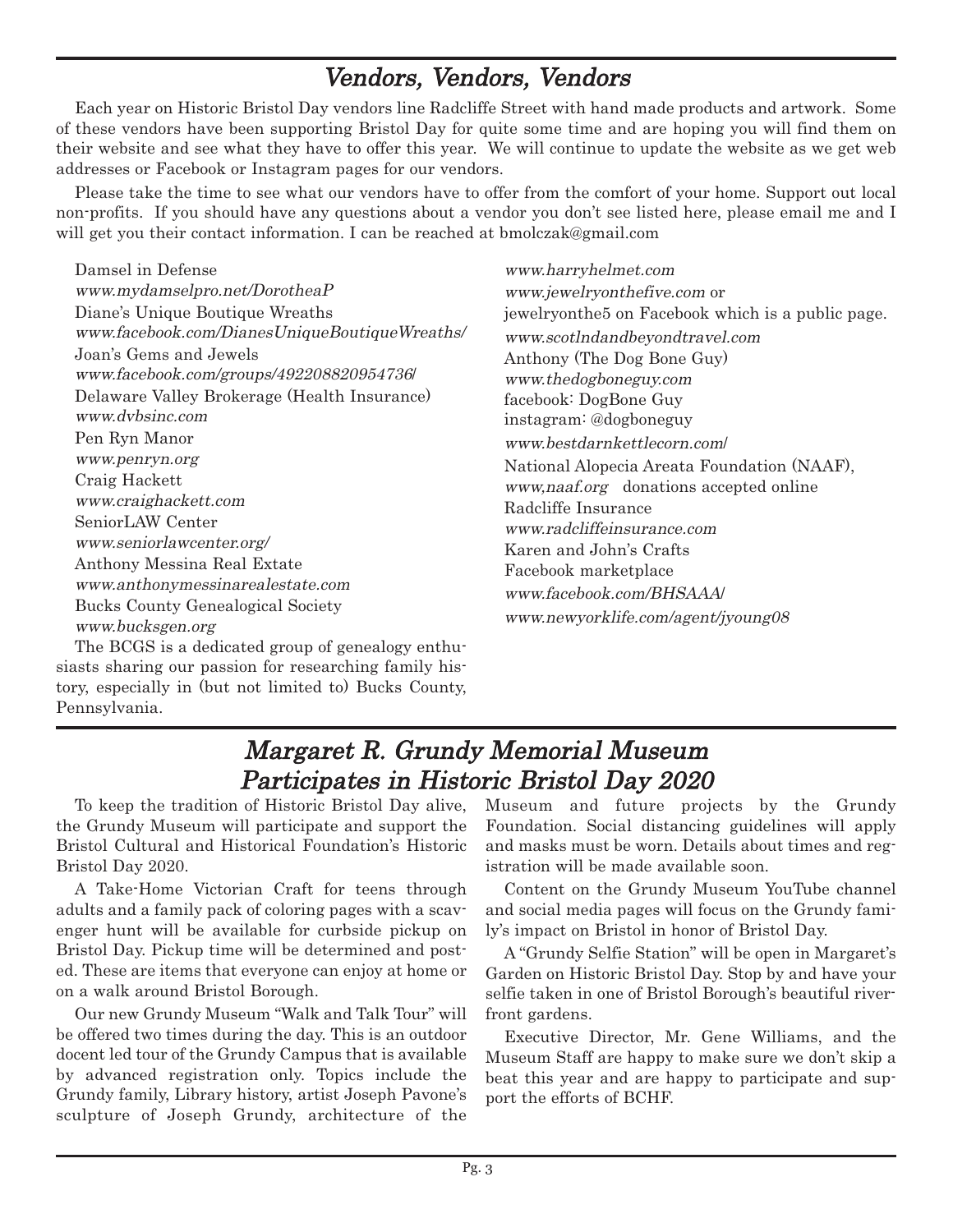# Vendors, Vendors, Vendors

Each year on Historic Bristol Day vendors line Radcliffe Street with hand made products and artwork. Some of these vendors have been supporting Bristol Day for quite some time and are hoping you will find them on their website and see what they have to offer this year. We will continue to update the website as we get web addresses or Facebook or Instagram pages for our vendors.

Please take the time to see what our vendors have to offer from the comfort of your home. Support out local non-profits. If you should have any questions about a vendor you don't see listed here, please email me and I will get you their contact information. I can be reached at bmolczak@gmail.com

Damsel in Defense www.mydamselpro.net/DorotheaP Diane's Unique Boutique Wreaths www.facebook.com/DianesUniqueBoutiqueWreaths/ Joan's Gems and Jewels www.facebook.com/groups/492208820954736/ Delaware Valley Brokerage (Health Insurance) www.dvbsinc.com Pen Ryn Manor www.penryn.org Craig Hackett www.craighackett.com SeniorLAW Center www.seniorlawcenter.org/ Anthony Messina Real Extate www.anthonymessinarealestate.com Bucks County Genealogical Society www.bucksgen.org

The BCGS is a dedicated group of genealogy enthusiasts sharing our passion for researching family history, especially in (but not limited to) Bucks County, Pennsylvania.

www.harryhelmet.com www.jewelryonthefive.com or jewelryonthe5 on Facebook which is a public page. www.scotlndandbeyondtravel.com Anthony (The Dog Bone Guy) www.thedogboneguy.com facebook: DogBone Guy instagram: @dogboneguy www.bestdarnkettlecorn.com/ National Alopecia Areata Foundation (NAAF), www,naaf.org donations accepted online Radcliffe Insurance www.radcliffeinsurance.com Karen and John's Crafts Facebook marketplace www.facebook.com/BHSAAA/ www.newyorklife.com/agent/jyoung08

#### Margaret R. Grundy Memorial Museum Participates in Historic Bristol Day 2020

To keep the tradition of Historic Bristol Day alive, the Grundy Museum will participate and support the Bristol Cultural and Historical Foundation's Historic Bristol Day 2020.

A Take-Home Victorian Craft for teens through adults and a family pack of coloring pages with a scavenger hunt will be available for curbside pickup on Bristol Day. Pickup time will be determined and posted. These are items that everyone can enjoy at home or on a walk around Bristol Borough.

Our new Grundy Museum "Walk and Talk Tour" will be offered two times during the day. This is an outdoor docent led tour of the Grundy Campus that is available by advanced registration only. Topics include the Grundy family, Library history, artist Joseph Pavone's sculpture of Joseph Grundy, architecture of the Museum and future projects by the Grundy Foundation. Social distancing guidelines will apply and masks must be worn. Details about times and registration will be made available soon.

Content on the Grundy Museum YouTube channel and social media pages will focus on the Grundy family's impact on Bristol in honor of Bristol Day.

A "Grundy Selfie Station" will be open in Margaret's Garden on Historic Bristol Day. Stop by and have your selfie taken in one of Bristol Borough's beautiful riverfront gardens.

Executive Director, Mr. Gene Williams, and the Museum Staff are happy to make sure we don't skip a beat this year and are happy to participate and support the efforts of BCHF.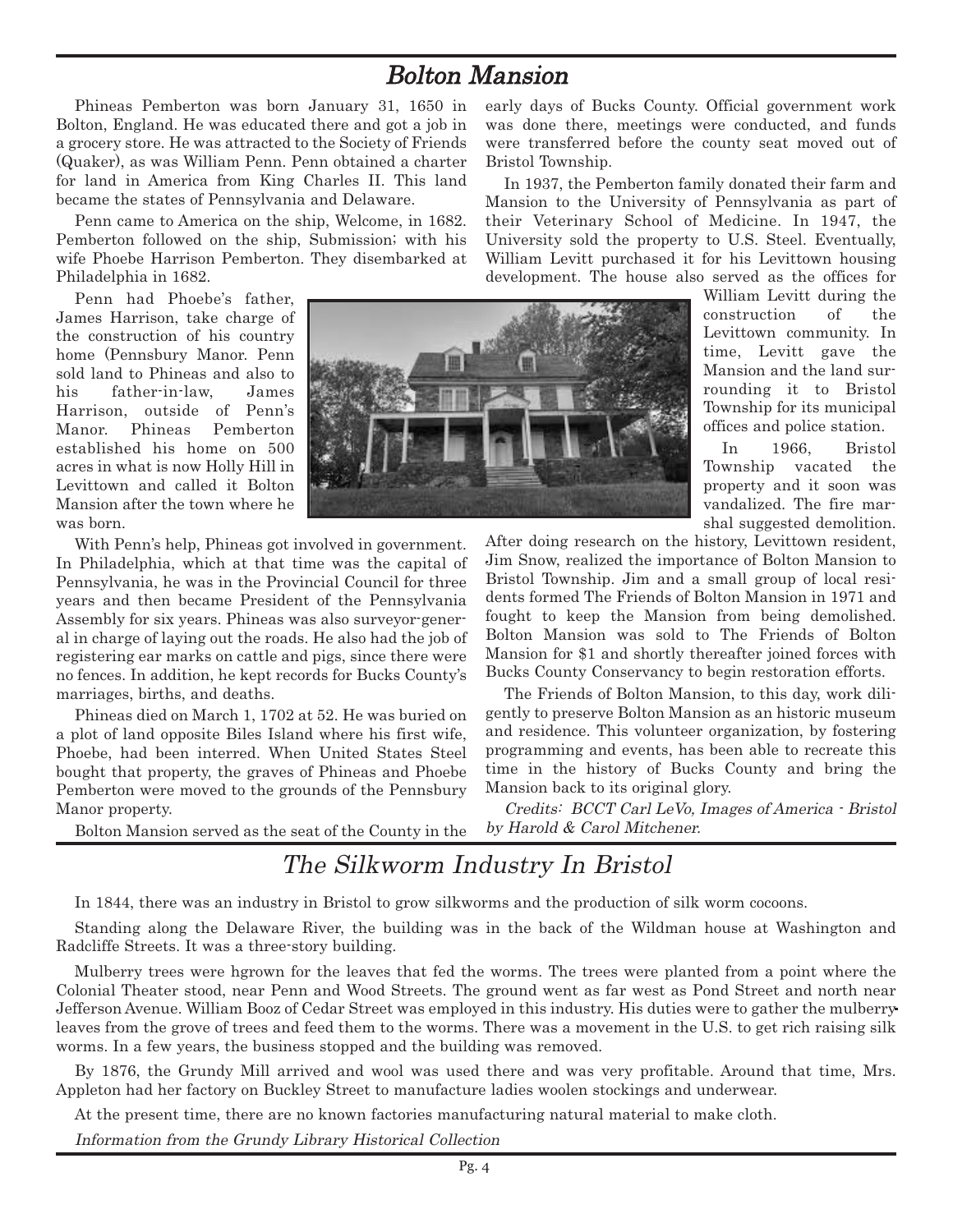### Bolton Mansion

Phineas Pemberton was born January 31, 1650 in Bolton, England. He was educated there and got a job in a grocery store. He was attracted to the Society of Friends (Quaker), as was William Penn. Penn obtained a charter for land in America from King Charles II. This land became the states of Pennsylvania and Delaware.

Penn came to America on the ship, Welcome, in 1682. Pemberton followed on the ship, Submission; with his wife Phoebe Harrison Pemberton. They disembarked at Philadelphia in 1682.

Penn had Phoebe's father, James Harrison, take charge of the construction of his country home (Pennsbury Manor. Penn sold land to Phineas and also to his father-in-law, James Harrison, outside of Penn's Manor. Phineas Pemberton established his home on 500 acres in what is now Holly Hill in Levittown and called it Bolton Mansion after the town where he was born.

With Penn's help, Phineas got involved in government. In Philadelphia, which at that time was the capital of Pennsylvania, he was in the Provincial Council for three years and then became President of the Pennsylvania Assembly for six years. Phineas was also surveyor-general in charge of laying out the roads. He also had the job of registering ear marks on cattle and pigs, since there were no fences. In addition, he kept records for Bucks County's marriages, births, and deaths.

Phineas died on March 1, 1702 at 52. He was buried on a plot of land opposite Biles Island where his first wife, Phoebe, had been interred. When United States Steel bought that property, the graves of Phineas and Phoebe Pemberton were moved to the grounds of the Pennsbury Manor property.

Bolton Mansion served as the seat of the County in the

#### early days of Bucks County. Official government work was done there, meetings were conducted, and funds were transferred before the county seat moved out of Bristol Township.

In 1937, the Pemberton family donated their farm and Mansion to the University of Pennsylvania as part of their Veterinary School of Medicine. In 1947, the University sold the property to U.S. Steel. Eventually, William Levitt purchased it for his Levittown housing development. The house also served as the offices for

William Levitt during the construction of the Levittown community. In time, Levitt gave the Mansion and the land surrounding it to Bristol Township for its municipal offices and police station.

In 1966, Bristol Township vacated the property and it soon was vandalized. The fire marshal suggested demolition.

After doing research on the history, Levittown resident, Jim Snow, realized the importance of Bolton Mansion to Bristol Township. Jim and a small group of local residents formed The Friends of Bolton Mansion in 1971 and fought to keep the Mansion from being demolished. Bolton Mansion was sold to The Friends of Bolton Mansion for \$1 and shortly thereafter joined forces with Bucks County Conservancy to begin restoration efforts.

The Friends of Bolton Mansion, to this day, work diligently to preserve Bolton Mansion as an historic museum and residence. This volunteer organization, by fostering programming and events, has been able to recreate this time in the history of Bucks County and bring the Mansion back to its original glory.

Credits: BCCT Carl LeVo, Images of America - Bristol by Harold & Carol Mitchener.

#### The Silkworm Industry In Bristol

In 1844, there was an industry in Bristol to grow silkworms and the production of silk worm cocoons.

Standing along the Delaware River, the building was in the back of the Wildman house at Washington and Radcliffe Streets. It was a three-story building.

Mulberry trees were hgrown for the leaves that fed the worms. The trees were planted from a point where the Colonial Theater stood, near Penn and Wood Streets. The ground went as far west as Pond Street and north near Jefferson Avenue. William Booz of Cedar Street was employed in this industry. His duties were to gather the mulberry leaves from the grove of trees and feed them to the worms. There was a movement in the U.S. to get rich raising silk worms. In a few years, the business stopped and the building was removed.

By 1876, the Grundy Mill arrived and wool was used there and was very profitable. Around that time, Mrs. Appleton had her factory on Buckley Street to manufacture ladies woolen stockings and underwear.

At the present time, there are no known factories manufacturing natural material to make cloth.

Information from the Grundy Library Historical Collection

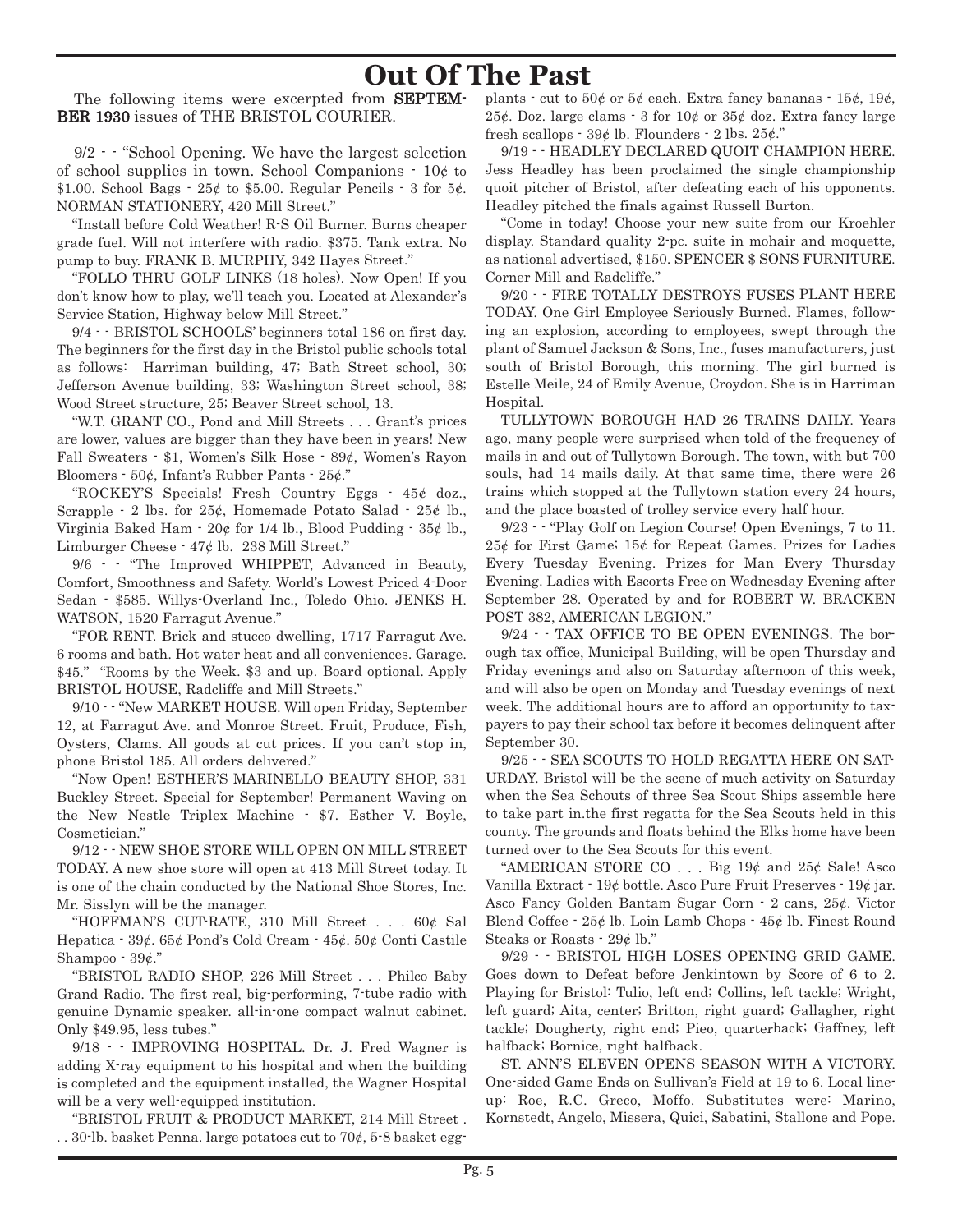## **Out Of The Past**

The following items were excerpted from SEPTEM-BER 1930 issues of THE BRISTOL COURIER.

9/2 - - "School Opening. We have the largest selection of school supplies in town. School Companions  $\cdot 10\ell$  to \$1.00. School Bags  $\cdot$  25¢ to \$5.00. Regular Pencils  $\cdot$  3 for 5¢. NORMAN STATIONERY, 420 Mill Street."

"Install before Cold Weather! R-S Oil Burner. Burns cheaper grade fuel. Will not interfere with radio. \$375. Tank extra. No pump to buy. FRANK B. MURPHY, 342 Hayes Street."

"FOLLO THRU GOLF LINKS (18 holes). Now Open! If you don't know how to play, we'll teach you. Located at Alexander's Service Station, Highway below Mill Street."

9/4 - - BRISTOL SCHOOLS' beginners total 186 on first day. The beginners for the first day in the Bristol public schools total as follows: Harriman building, 47; Bath Street school, 30; Jefferson Avenue building, 33; Washington Street school, 38; Wood Street structure, 25; Beaver Street school, 13.

"W.T. GRANT CO., Pond and Mill Streets . . . Grant's prices are lower, values are bigger than they have been in years! New Fall Sweaters - \$1, Women's Silk Hose - 89¢, Women's Rayon Bloomers - 50¢, Infant's Rubber Pants - 25¢."

"ROCKEY'S Specials! Fresh Country Eggs - 45¢ doz., Scrapple  $\cdot$  2 lbs. for 25¢, Homemade Potato Salad  $\cdot$  25¢ lb., Virginia Baked Ham - 20¢ for 1/4 lb., Blood Pudding - 35¢ lb., Limburger Cheese - 47¢ lb. 238 Mill Street."

9/6 - - "The Improved WHIPPET, Advanced in Beauty, Comfort, Smoothness and Safety. World's Lowest Priced 4-Door Sedan - \$585. Willys-Overland Inc., Toledo Ohio. JENKS H. WATSON, 1520 Farragut Avenue."

"FOR RENT. Brick and stucco dwelling, 1717 Farragut Ave. 6 rooms and bath. Hot water heat and all conveniences. Garage. \$45." "Rooms by the Week. \$3 and up. Board optional. Apply BRISTOL HOUSE, Radcliffe and Mill Streets."

9/10 - - "New MARKET HOUSE. Will open Friday, September 12, at Farragut Ave. and Monroe Street. Fruit, Produce, Fish, Oysters, Clams. All goods at cut prices. If you can't stop in, phone Bristol 185. All orders delivered."

"Now Open! ESTHER'S MARINELLO BEAUTY SHOP, 331 Buckley Street. Special for September! Permanent Waving on the New Nestle Triplex Machine - \$7. Esther V. Boyle, Cosmetician."

9/12 - - NEW SHOE STORE WILL OPEN ON MILL STREET TODAY. A new shoe store will open at 413 Mill Street today. It is one of the chain conducted by the National Shoe Stores, Inc. Mr. Sisslyn will be the manager.

"HOFFMAN'S CUT-RATE, 310 Mill Street . . . 60¢ Sal Hepatica - 39¢. 65¢ Pond's Cold Cream - 45¢. 50¢ Conti Castile Shampoo - 39¢."

"BRISTOL RADIO SHOP, 226 Mill Street . . . Philco Baby Grand Radio. The first real, big-performing, 7-tube radio with genuine Dynamic speaker. all-in-one compact walnut cabinet. Only \$49.95, less tubes."

9/18 - - IMPROVING HOSPITAL. Dr. J. Fred Wagner is adding X-ray equipment to his hospital and when the building is completed and the equipment installed, the Wagner Hospital will be <sup>a</sup> very well-equipped institution.

"BRISTOL FRUIT & PRODUCT MARKET, 214 Mill Street . .. 30-lb. basket Penna. large potatoes cut to  $70¢$ , 5-8 basket eggplants  $\cdot$  cut to 50 $\ell$  or 5 $\ell$  each. Extra fancy bananas  $\cdot$  15 $\ell$ , 19 $\ell$ , 25¢. Doz. large clams  $\cdot$  3 for 10¢ or 35¢ doz. Extra fancy large fresh scallops  $-39¢$  lb. Flounders  $-2$  lbs.  $25¢$ ."

9/19 - - HEADLEY DECLARED QUOIT CHAMPION HERE. Jess Headley has been proclaimed the single championship quoit pitcher of Bristol, after defeating each of his opponents. Headley pitched the finals against Russell Burton.

"Come in today! Choose your new suite from our Kroehler display. Standard quality 2-pc. suite in mohair and moquette, as national advertised, \$150. SPENCER \$ SONS FURNITURE. Corner Mill and Radcliffe."

9/20 - - FIRE TOTALLY DESTROYS FUSES PLANT HERE TODAY. One Girl Employee Seriously Burned. Flames, following an explosion, according to employees, swept through the plant of Samuel Jackson & Sons, Inc., fuses manufacturers, just south of Bristol Borough, this morning. The girl burned is Estelle Meile, 24 of Emily Avenue, Croydon. She is in Harriman Hospital.

TULLYTOWN BOROUGH HAD 26 TRAINS DAILY. Years ago, many people were surprised when told of the frequency of mails in and out of Tullytown Borough. The town, with but 700 souls, had 14 mails daily. At that same time, there were 26 trains which stopped at the Tullytown station every 24 hours, and the place boasted of trolley service every half hour.

9/23 - - "Play Golf on Legion Course! Open Evenings, 7 to 11. 25¢ for First Game; 15¢ for Repeat Games. Prizes for Ladies Every Tuesday Evening. Prizes for Man Every Thursday Evening. Ladies with Escorts Free on Wednesday Evening after September 28. Operated by and for ROBERT W. BRACKEN POST 382, AMERICAN LEGION."

9/24 - - TAX OFFICE TO BE OPEN EVENINGS. The borough tax office, Municipal Building, will be open Thursday and Friday evenings and also on Saturday afternoon of this week, and will also be open on Monday and Tuesday evenings of next week. The additional hours are to afford an opportunity to taxpayers to pay their school tax before it becomes delinquent after September 30.

9/25 - - SEA SCOUTS TO HOLD REGATTA HERE ON SAT-URDAY. Bristol will be the scene of much activity on Saturday when the Sea Schouts of three Sea Scout Ships assemble here to take part in.the first regatta for the Sea Scouts held in this county. The grounds and floats behind the Elks home have been turned over to the Sea Scouts for this event.

"AMERICAN STORE CO... Big  $19¢$  and  $25¢$  Sale! Asco Vanilla Extract - 19¢ bottle. Asco Pure Fruit Preserves - 19¢ jar. Asco Fancy Golden Bantam Sugar Corn - 2 cans, 25¢. Victor Blend Coffee - 25¢ lb. Loin Lamb Chops - 45¢ lb. Finest Round Steaks or Roasts - 29¢ lb."

9/29 - - BRISTOL HIGH LOSES OPENING GRID GAME. Goes down to Defeat before Jenkintown by Score of 6 to 2. Playing for Bristol: Tulio, left end; Collins, left tackle; Wright, left guard; Aita, center; Britton, right guard; Gallagher, right tackle; Dougherty, right end; Pieo, quarterback; Gaffney, left halfback; Bornice, right halfback.

ST. ANN'S ELEVEN OPENS SEASON WITH A VICTORY. One-sided Game Ends on Sullivan's Field at 19 to 6. Local lineup: Roe, R.C. Greco, Moffo. Substitutes were: Marino, Kornstedt, Angelo, Missera, Quici, Sabatini, Stallone and Pope.